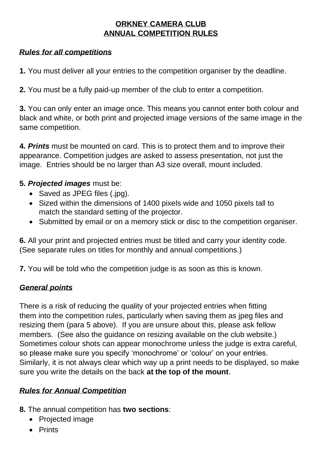## **ORKNEY CAMERA CLUB ANNUAL COMPETITION RULES**

## *Rules for all competitions*

**1.** You must deliver all your entries to the competition organiser by the deadline.

**2.** You must be a fully paid-up member of the club to enter a competition.

**3.** You can only enter an image once. This means you cannot enter both colour and black and white, or both print and projected image versions of the same image in the same competition.

**4.** *Prints* must be mounted on card. This is to protect them and to improve their appearance. Competition judges are asked to assess presentation, not just the image. Entries should be no larger than A3 size overall, mount included.

#### **5.** *Projected images* must be:

- Saved as JPEG files (.jpg).
- Sized within the dimensions of 1400 pixels wide and 1050 pixels tall to match the standard setting of the projector.
- Submitted by email or on a memory stick or disc to the competition organiser.

**6.** All your print and projected entries must be titled and carry your identity code. (See separate rules on titles for monthly and annual competitions.)

**7.** You will be told who the competition judge is as soon as this is known.

#### *General points*

There is a risk of reducing the quality of your projected entries when fitting them into the competition rules, particularly when saving them as jpeg files and resizing them (para 5 above). If you are unsure about this, please ask fellow members. (See also the guidance on resizing available on the club website.) Sometimes colour shots can appear monochrome unless the judge is extra careful, so please make sure you specify 'monochrome' or 'colour' on your entries. Similarly, it is not always clear which way up a print needs to be displayed, so make sure you write the details on the back **at the top of the mount**.

## *Rules for Annual Competition*

**8.** The annual competition has **two sections**:

- Projected image
- Prints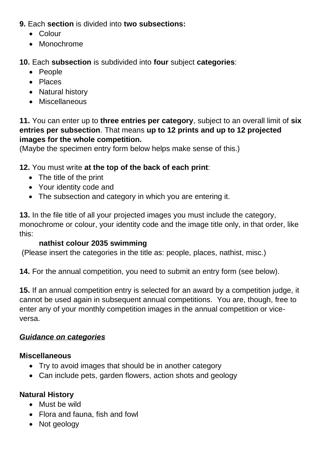**9.** Each **section** is divided into **two subsections:**

- Colour
- Monochrome

**10.** Each **subsection** is subdivided into **four** subject **categories**:

- People
- Places
- Natural history
- Miscellaneous

**11.** You can enter up to **three entries per category**, subject to an overall limit of **six entries per subsection**. That means **up to 12 prints and up to 12 projected images for the whole competition.**

(Maybe the specimen entry form below helps make sense of this.)

## **12.** You must write **at the top of the back of each print**:

- The title of the print
- Your identity code and
- The subsection and category in which you are entering it.

**13.** In the file title of all your projected images you must include the category, monochrome or colour, your identity code and the image title only, in that order, like this:

## **nathist colour 2035 swimming**

(Please insert the categories in the title as: people, places, nathist, misc.)

**14.** For the annual competition, you need to submit an entry form (see below).

**15.** If an annual competition entry is selected for an award by a competition judge, it cannot be used again in subsequent annual competitions. You are, though, free to enter any of your monthly competition images in the annual competition or viceversa.

## *Guidance on categories*

## **Miscellaneous**

- Try to avoid images that should be in another category
- Can include pets, garden flowers, action shots and geology

## **Natural History**

- Must be wild
- Flora and fauna, fish and fowl
- Not geology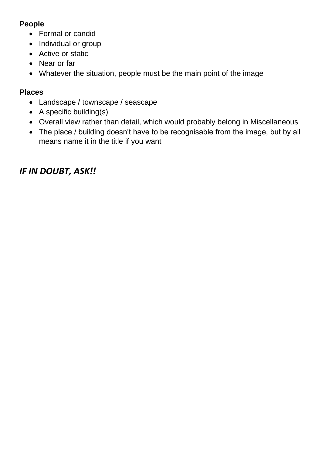## **People**

- Formal or candid
- Individual or group
- Active or static
- Near or far
- Whatever the situation, people must be the main point of the image

## **Places**

- Landscape / townscape / seascape
- A specific building(s)
- Overall view rather than detail, which would probably belong in Miscellaneous
- The place / building doesn't have to be recognisable from the image, but by all means name it in the title if you want

# *IF IN DOUBT, ASK!!*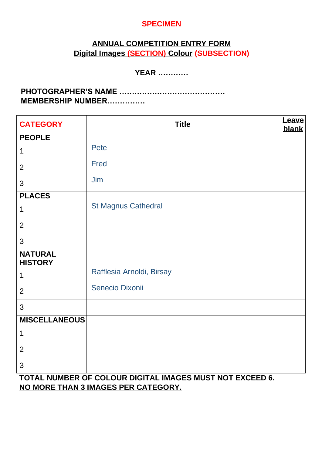#### **SPECIMEN**

## **ANNUAL COMPETITION ENTRY FORM Digital Images (SECTION) Colour (SUBSECTION)**

## **YEAR …………**

**PHOTOGRAPHER'S NAME …………………………………… MEMBERSHIP NUMBER……………** 

| <b>CATEGORY</b>                                          | <b>Title</b>               | Leave<br>blank |
|----------------------------------------------------------|----------------------------|----------------|
| <b>PEOPLE</b>                                            |                            |                |
| $\mathbf 1$                                              | <b>Pete</b>                |                |
| $\overline{2}$                                           | <b>Fred</b>                |                |
| 3                                                        | Jim                        |                |
| <b>PLACES</b>                                            |                            |                |
| $\mathbf 1$                                              | <b>St Magnus Cathedral</b> |                |
| $\overline{2}$                                           |                            |                |
| 3                                                        |                            |                |
| <b>NATURAL</b><br><b>HISTORY</b>                         |                            |                |
| $\mathbf 1$                                              | Rafflesia Arnoldi, Birsay  |                |
| $\overline{2}$                                           | Senecio Dixonii            |                |
| 3                                                        |                            |                |
| <b>MISCELLANEOUS</b>                                     |                            |                |
| 1                                                        |                            |                |
| $\overline{2}$                                           |                            |                |
| 3                                                        |                            |                |
| TOTAL NUMBER OF COLOUR DIGITAL IMAGES MUST NOT EXCEED 6. |                            |                |

**NO MORE THAN 3 IMAGES PER CATEGORY.**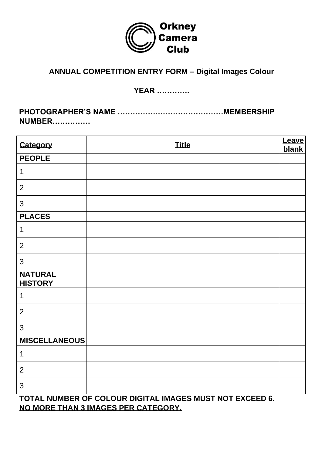

# **ANNUAL COMPETITION ENTRY FORM – Digital Images Colour**

## **YEAR ………….**

**PHOTOGRAPHER'S NAME ……………………………………MEMBERSHIP NUMBER……………**

| Category                         | <b>Title</b>                                              | <b>Leave</b><br>blank |
|----------------------------------|-----------------------------------------------------------|-----------------------|
| <b>PEOPLE</b>                    |                                                           |                       |
| $\mathbf 1$                      |                                                           |                       |
| $\overline{2}$                   |                                                           |                       |
| 3                                |                                                           |                       |
| <b>PLACES</b>                    |                                                           |                       |
| $\mathbf 1$                      |                                                           |                       |
| $\overline{2}$                   |                                                           |                       |
| 3                                |                                                           |                       |
| <b>NATURAL</b><br><b>HISTORY</b> |                                                           |                       |
| $\mathbf 1$                      |                                                           |                       |
| $\overline{2}$                   |                                                           |                       |
| 3                                |                                                           |                       |
| <b>MISCELLANEOUS</b>             |                                                           |                       |
| $\mathbf 1$                      |                                                           |                       |
| $\overline{2}$                   |                                                           |                       |
| 3                                | TOTAL NUMBER OF OOL OUR RIGITAL IMA OFO MUOT NOT FVOEFR O |                       |

**TOTAL NUMBER OF COLOUR DIGITAL IMAGES MUST NOT EXCEED 6. NO MORE THAN 3 IMAGES PER CATEGORY.**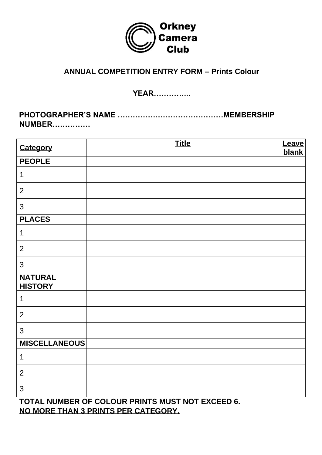

#### **ANNUAL COMPETITION ENTRY FORM – Prints Colour**

#### **YEAR…………...**

**PHOTOGRAPHER'S NAME ……………………………………MEMBERSHIP NUMBER……………**

| Category                         | <b>Title</b>                                     | <b>Leave</b><br>blank |  |
|----------------------------------|--------------------------------------------------|-----------------------|--|
| <b>PEOPLE</b>                    |                                                  |                       |  |
| 1                                |                                                  |                       |  |
| $\overline{2}$                   |                                                  |                       |  |
| 3                                |                                                  |                       |  |
| <b>PLACES</b>                    |                                                  |                       |  |
| 1                                |                                                  |                       |  |
| $\overline{2}$                   |                                                  |                       |  |
| 3                                |                                                  |                       |  |
| <b>NATURAL</b><br><b>HISTORY</b> |                                                  |                       |  |
| 1                                |                                                  |                       |  |
| $\overline{2}$                   |                                                  |                       |  |
| 3                                |                                                  |                       |  |
| <b>MISCELLANEOUS</b>             |                                                  |                       |  |
| 1                                |                                                  |                       |  |
| $\overline{2}$                   |                                                  |                       |  |
| 3                                |                                                  |                       |  |
|                                  | TOTAL NUMBER OF COLOUR PRINTS MUST NOT EXCEED 6. |                       |  |

**NO MORE THAN 3 PRINTS PER CATEGORY.**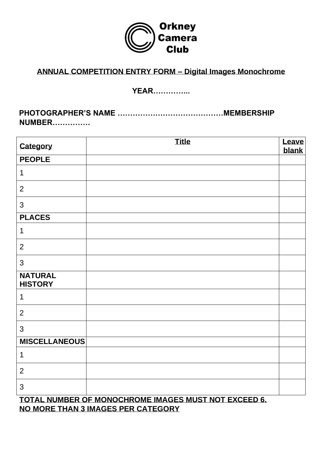

# **ANNUAL COMPETITION ENTRY FORM – Digital Images Monochrome**

## **YEAR…………...**

**PHOTOGRAPHER'S NAME ……………………………………MEMBERSHIP NUMBER……………**

| Category                         | <b>Title</b> | Leave<br>blank |
|----------------------------------|--------------|----------------|
| <b>PEOPLE</b>                    |              |                |
| $\mathbf 1$                      |              |                |
| $\overline{2}$                   |              |                |
| 3                                |              |                |
| <b>PLACES</b>                    |              |                |
| $\mathbf 1$                      |              |                |
| $\overline{2}$                   |              |                |
| $\mathfrak{S}$                   |              |                |
| <b>NATURAL</b><br><b>HISTORY</b> |              |                |
| $\mathbf 1$                      |              |                |
| $\overline{2}$                   |              |                |
| $\mathfrak{S}$                   |              |                |
| <b>MISCELLANEOUS</b>             |              |                |
| $\mathbf 1$                      |              |                |
| 2                                |              |                |
| 3                                |              |                |

**TOTAL NUMBER OF MONOCHROME IMAGES MUST NOT EXCEED 6. NO MORE THAN 3 IMAGES PER CATEGORY**